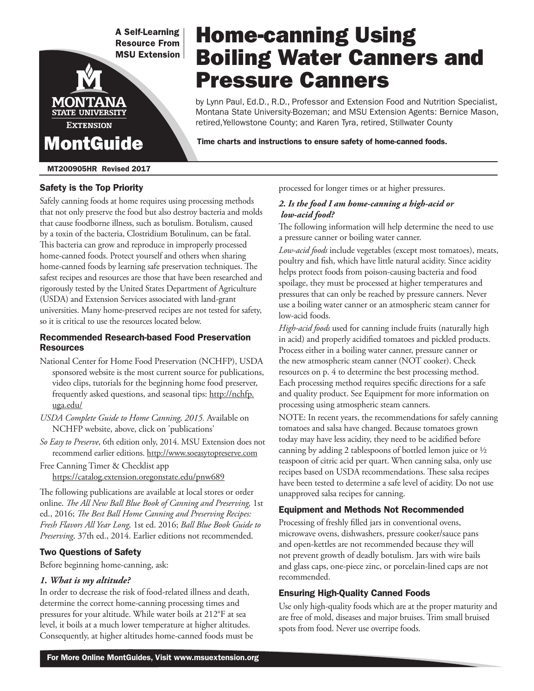**A Self-Learning Resource From MSU Extension** 

MONT **STATE UNIVERSITY EXTENSION** MontGuide

### MT200905HR Revised 2017

### Safety is the Top Priority

Safely canning foods at home requires using processing methods that not only preserve the food but also destroy bacteria and molds that cause foodborne illness, such as botulism. Botulism, caused by a toxin of the bacteria, Clostridium Botulinum, can be fatal. This bacteria can grow and reproduce in improperly processed home-canned foods. Protect yourself and others when sharing home-canned foods by learning safe preservation techniques. The safest recipes and resources are those that have been researched and rigorously tested by the United States Department of Agriculture (USDA) and Extension Services associated with land-grant universities. Many home-preserved recipes are not tested for safety, so it is critical to use the resources located below.

### Recommended Research-based Food Preservation Resources

- National Center for Home Food Preservation (NCHFP), USDA sponsored website is the most current source for publications, video clips, tutorials for the beginning home food preserver, frequently asked questions, and seasonal tips: http://nchfp. uga.edu/
- *USDA Complete Guide to Home Canning, 2015.* Available on NCHFP website, above, click on 'publications'
- *So Easy to Preserve*, 6th edition only, 2014. MSU Extension does not recommend earlier editions. http://www.soeasytopreserve.com
- Free Canning Timer & Checklist app https://catalog.extension.oregonstate.edu/pnw689

The following publications are available at local stores or order online. *The All New Ball Blue Book of Canning and Preserving,* 1st ed., 2016; *The Best Ball Home Canning and Preserving Recipes: Fresh Flavors All Year Long,* 1st ed. 2016; *Ball Blue Book Guide to Preserving,* 37th ed., 2014. Earlier editions not recommended.

### Two Questions of Safety

Before beginning home-canning, ask:

### *1. What is my altitude?*

In order to decrease the risk of food-related illness and death, determine the correct home-canning processing times and pressures for your altitude. While water boils at 212°F at sea level, it boils at a much lower temperature at higher altitudes. Consequently, at higher altitudes home-canned foods must be processed for longer times or at higher pressures.

Home-canning Using

Pressure Canners

Boiling Water Canners and

by Lynn Paul, Ed.D., R.D., Professor and Extension Food and Nutrition Specialist, Montana State University-Bozeman; and MSU Extension Agents: Bernice Mason,

retired,Yellowstone County; and Karen Tyra, retired, Stillwater County

Time charts and instructions to ensure safety of home-canned foods.

### *2. Is the food I am home-canning a high-acid or low-acid food?*

The following information will help determine the need to use a pressure canner or boiling water canner.

*Low-acid foods* include vegetables (except most tomatoes), meats, poultry and fish, which have little natural acidity. Since acidity helps protect foods from poison-causing bacteria and food spoilage, they must be processed at higher temperatures and pressures that can only be reached by pressure canners. Never use a boiling water canner or an atmospheric steam canner for low-acid foods.

*High-acid foods* used for canning include fruits (naturally high in acid) and properly acidified tomatoes and pickled products. Process either in a boiling water canner, pressure canner or the new atmospheric steam canner (NOT cooker). Check resources on p. 4 to determine the best processing method. Each processing method requires specific directions for a safe and quality product. See Equipment for more information on processing using atmospheric steam canners.

NOTE: In recent years, the recommendations for safely canning tomatoes and salsa have changed. Because tomatoes grown today may have less acidity, they need to be acidified before canning by adding 2 tablespoons of bottled lemon juice or ½ teaspoon of citric acid per quart. When canning salsa, only use recipes based on USDA recommendations. These salsa recipes have been tested to determine a safe level of acidity. Do not use unapproved salsa recipes for canning.

### Equipment and Methods Not Recommended

Processing of freshly filled jars in conventional ovens, microwave ovens, dishwashers, pressure cooker/sauce pans and open-kettles are not recommended because they will not prevent growth of deadly botulism. Jars with wire bails and glass caps, one-piece zinc, or porcelain-lined caps are not recommended.

## Ensuring High-Quality Canned Foods

Use only high-quality foods which are at the proper maturity and are free of mold, diseases and major bruises. Trim small bruised spots from food. Never use overripe foods.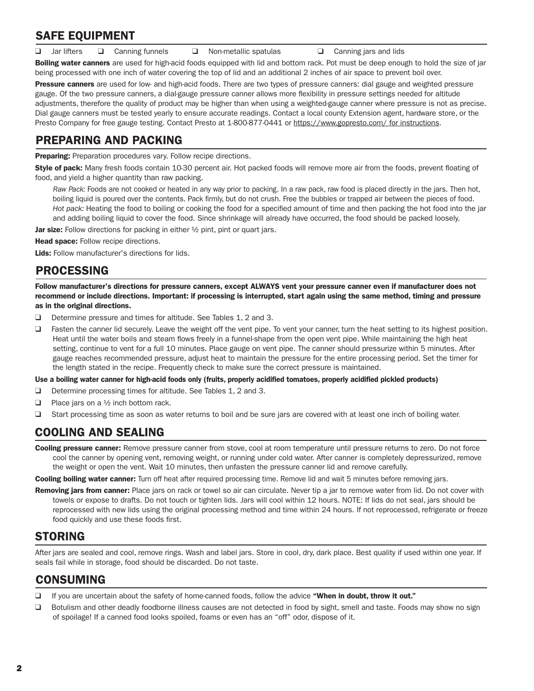# SAFE EQUIPMENT

**q** Jar lifters **q** Canning funnels **q** Non-metallic spatulas **q** Canning jars and lids

Boiling water canners are used for high-acid foods equipped with lid and bottom rack. Pot must be deep enough to hold the size of jar being processed with one inch of water covering the top of lid and an additional 2 inches of air space to prevent boil over.

Pressure canners are used for low- and high-acid foods. There are two types of pressure canners: dial gauge and weighted pressure gauge. Of the two pressure canners, a dial-gauge pressure canner allows more flexibility in pressure settings needed for altitude adjustments, therefore the quality of product may be higher than when using a weighted-gauge canner where pressure is not as precise. Dial gauge canners must be tested yearly to ensure accurate readings. Contact a local county Extension agent, hardware store, or the Presto Company for free gauge testing. Contact Presto at 1-800-877-0441 or https://www.gopresto.com/ for instructions.

# PREPARING AND PACKING

**Preparing:** Preparation procedures vary. Follow recipe directions.

Style of pack: Many fresh foods contain 10-30 percent air. Hot packed foods will remove more air from the foods, prevent floating of food, and yield a higher quantity than raw packing.

 *Raw Pack:* Foods are not cooked or heated in any way prior to packing. In a raw pack, raw food is placed directly in the jars. Then hot, boiling liquid is poured over the contents. Pack firmly, but do not crush. Free the bubbles or trapped air between the pieces of food. *Hot pack:* Heating the food to boiling or cooking the food for a specified amount of time and then packing the hot food into the jar and adding boiling liquid to cover the food. Since shrinkage will already have occurred, the food should be packed loosely.

Jar size: Follow directions for packing in either 1/2 pint, pint or quart jars.

Head space: Follow recipe directions.

Lids: Follow manufacturer's directions for lids.

# PROCESSING

Follow manufacturer's directions for pressure canners, except ALWAYS vent your pressure canner even if manufacturer does not recommend or include directions. Important: if processing is interrupted, start again using the same method, timing and pressure as in the original directions.

- $\Box$  Determine pressure and times for altitude. See Tables 1, 2 and 3.
- $\Box$  Fasten the canner lid securely. Leave the weight off the vent pipe. To vent your canner, turn the heat setting to its highest position. Heat until the water boils and steam flows freely in a funnel-shape from the open vent pipe. While maintaining the high heat setting, continue to vent for a full 10 minutes. Place gauge on vent pipe. The canner should pressurize within 5 minutes. After gauge reaches recommended pressure, adjust heat to maintain the pressure for the entire processing period. Set the timer for the length stated in the recipe. Frequently check to make sure the correct pressure is maintained.

#### Use a boiling water canner for high-acid foods only (fruits, properly acidified tomatoes, properly acidified pickled products)

- $\Box$  Determine processing times for altitude. See Tables 1, 2 and 3.
- **Q** Place jars on a  $\frac{1}{2}$  inch bottom rack.
- □ Start processing time as soon as water returns to boil and be sure jars are covered with at least one inch of boiling water.

# COOLING AND SEALING

Cooling pressure canner: Remove pressure canner from stove, cool at room temperature until pressure returns to zero. Do not force cool the canner by opening vent, removing weight, or running under cold water. After canner is completely depressurized, remove the weight or open the vent. Wait 10 minutes, then unfasten the pressure canner lid and remove carefully.

Cooling boiling water canner: Turn off heat after required processing time. Remove lid and wait 5 minutes before removing jars.

Removing jars from canner: Place jars on rack or towel so air can circulate. Never tip a jar to remove water from lid. Do not cover with towels or expose to drafts. Do not touch or tighten lids. Jars will cool within 12 hours. NOTE: If lids do not seal, jars should be reprocessed with new lids using the original processing method and time within 24 hours. If not reprocessed, refrigerate or freeze food quickly and use these foods first.

# STORING

After jars are sealed and cool, remove rings. Wash and label jars. Store in cool, dry, dark place. Best quality if used within one year. If seals fail while in storage, food should be discarded. Do not taste.

# CONSUMING

- If you are uncertain about the safety of home-canned foods, follow the advice "When in doubt, throw it out."
- □ Botulism and other deadly foodborne illness causes are not detected in food by sight, smell and taste. Foods may show no sign of spoilage! If a canned food looks spoiled, foams or even has an "off" odor, dispose of it.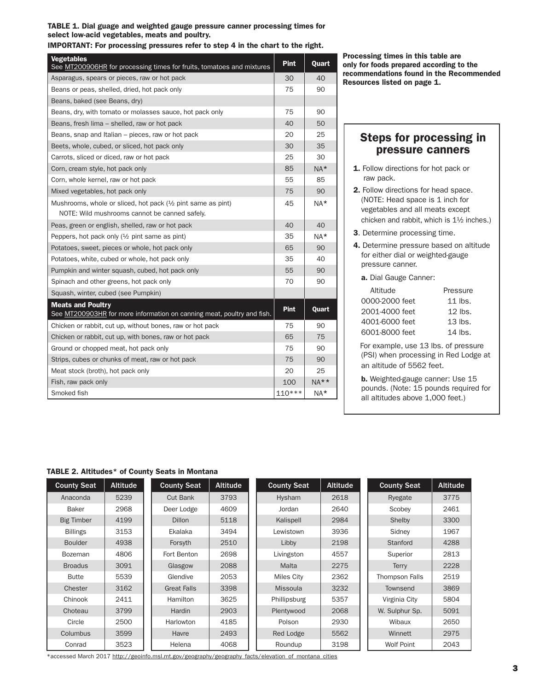#### TABLE 1. Dial guage and weighted gauge pressure canner processing times for select low-acid vegetables, meats and poultry.

IMPORTANT: For processing pressures refer to step 4 in the chart to the right.

| <b>Vegetables</b><br>See MT200906HR for processing times for fruits, tomatoes and mixtures                                             | <b>Pint</b> | Quart  |
|----------------------------------------------------------------------------------------------------------------------------------------|-------------|--------|
| Asparagus, spears or pieces, raw or hot pack                                                                                           | 30          | 40     |
| Beans or peas, shelled, dried, hot pack only                                                                                           | 75          | 90     |
| Beans, baked (see Beans, dry)                                                                                                          |             |        |
| Beans, dry, with tomato or molasses sauce, hot pack only                                                                               | 75          | 90     |
| Beans, fresh lima - shelled, raw or hot pack                                                                                           | 40          | 50     |
| Beans, snap and Italian – pieces, raw or hot pack                                                                                      | 20          | 25     |
| Beets, whole, cubed, or sliced, hot pack only                                                                                          | 30          | 35     |
| Carrots, sliced or diced, raw or hot pack                                                                                              | 25          | 30     |
| Corn, cream style, hot pack only                                                                                                       | 85          | $NA*$  |
| Corn, whole kernel, raw or hot pack                                                                                                    | 55          | 85     |
| Mixed vegetables, hot pack only                                                                                                        | 75          | 90     |
| Mushrooms, whole or sliced, hot pack ( <sup>1</sup> / <sub>2</sub> pint same as pint)<br>NOTE: Wild mushrooms cannot be canned safely. | 45          | $NA*$  |
| Peas, green or english, shelled, raw or hot pack                                                                                       | 40          | 40     |
| Peppers, hot pack only $(1/2)$ pint same as pint)                                                                                      | 35          | $NA*$  |
| Potatoes, sweet, pieces or whole, hot pack only                                                                                        | 65          | 90     |
| Potatoes, white, cubed or whole, hot pack only                                                                                         | 35          | 40     |
| Pumpkin and winter squash, cubed, hot pack only                                                                                        | 55          | 90     |
| Spinach and other greens, hot pack only                                                                                                | 70          | 90     |
| Squash, winter, cubed (see Pumpkin)                                                                                                    |             |        |
| <b>Meats and Poultry</b><br>See MT200903HR for more information on canning meat, poultry and fish.                                     | <b>Pint</b> | Quart  |
| Chicken or rabbit, cut up, without bones, raw or hot pack                                                                              | 75          | 90     |
| Chicken or rabbit, cut up, with bones, raw or hot pack                                                                                 | 65          | 75     |
| Ground or chopped meat, hot pack only                                                                                                  | 75          | 90     |
| Strips, cubes or chunks of meat, raw or hot pack                                                                                       | 75          | 90     |
| Meat stock (broth), hot pack only                                                                                                      | 20          | 25     |
| Fish, raw pack only                                                                                                                    | 100         | $NA**$ |
| Smoked fish                                                                                                                            | $110***$    | $NA*$  |

Processing times in this table are only for foods prepared according to the recommendations found in the Recommended Resources listed on page 1.

# Steps for processing in pressure canners

- 1. Follow directions for hot pack or raw pack.
- 2. Follow directions for head space. (NOTE: Head space is 1 inch for vegetables and all meats except chicken and rabbit, which is 1½ inches.)
- 3. Determine processing time.
- 4. Determine pressure based on altitude for either dial or weighted-gauge pressure canner.
	- a. Dial Gauge Canner:

| Altitude       | Pressure            |
|----------------|---------------------|
| 0000-2000 feet | 11 $\mathsf{Ins}$ . |
| 2001-4000 feet | $12$ lbs.           |
| 4001-6000 feet | $13$ lbs.           |
| 6001-8000 feet | $14$ lbs.           |

 For example, use 13 lbs. of pressure (PSI) when processing in Red Lodge at an altitude of 5562 feet.

b. Weighted-gauge canner: Use 15 pounds. (Note: 15 pounds required for all altitudes above 1,000 feet.)

### TABLE 2. Altitudes\* of County Seats in Montana

| <b>County Seat</b> | <b>Altitude</b> | <b>County Seat</b> | <b>Altitude</b>    | <b>County Seat</b> | <b>Altitude</b> | <b>County Seat</b> | <b>Altitude</b> |
|--------------------|-----------------|--------------------|--------------------|--------------------|-----------------|--------------------|-----------------|
| Anaconda           | 5239            | <b>Cut Bank</b>    | 3793               | Hysham             | 2618            | Ryegate            | 3775            |
| Baker              | 2968            | Deer Lodge         | 4609               | Jordan             | 2640            | Scobey             | 2461            |
| <b>Big Timber</b>  | 4199            | <b>Dillon</b>      | 5118               | Kalispell          | 2984            | Shelby             | 3300            |
| <b>Billings</b>    | 3153            | Ekalaka            | 3494               | Lewistown          | 3936            | Sidney             | 1967            |
| <b>Boulder</b>     | 4938            | Forsyth            | 2510               | Libby<br>2198      |                 | Stanford           | 4288            |
| Bozeman            | 4806            | Fort Benton        | 2698               | Livingston         | 4557            | Superior           | 2813            |
| <b>Broadus</b>     | 3091            | Glasgow            | 2088               | Malta              | 2275            | <b>Terry</b>       | 2228            |
| <b>Butte</b>       | 5539            | Glendive           | 2053               | Miles City         | 2362            | Thompson Falls     | 2519            |
| Chester            | 3162            | <b>Great Falls</b> | 3398               | <b>Missoula</b>    | 3232            | Townsend           | 3869            |
| Chinook            | 2411            | Hamilton           | 3625               | Phillipsburg       | 5357            | Virginia City      | 5804            |
| Choteau            | 3799            | Hardin             | 2903<br>Plentywood |                    | 2068            | W. Sulphur Sp.     | 5091            |
| Circle             | 2500            | Harlowton          | 4185               | Polson             | 2930            | Wibaux             | 2650            |
| Columbus           | 3599            | Havre              | 2493               | Red Lodge          | 5562            | Winnett            | 2975            |
| Conrad             | 3523            | Helena             | 4068               | Roundup            | 3198            | <b>Wolf Point</b>  | 2043            |

\*accessed March 2017 http://geoinfo.msl.mt.gov/geography/geography\_facts/elevation\_of\_montana\_cities